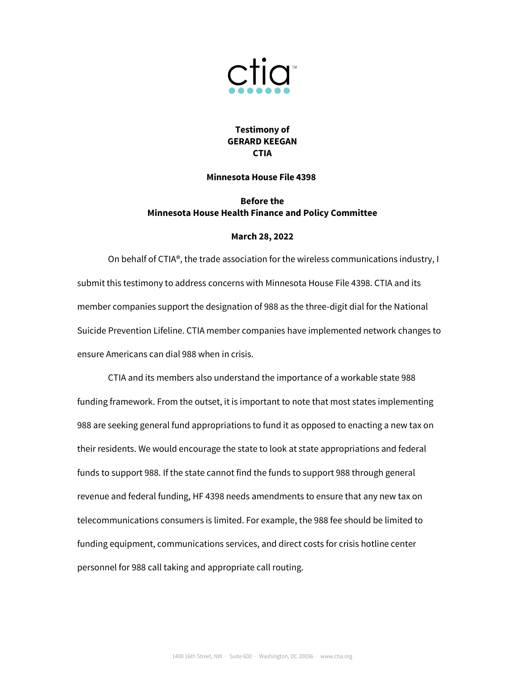

## **Testimony of GERARD KEEGAN CTIA**

## **Minnesota House File 4398**

## **Before the Minnesota House Health Finance and Policy Committee**

## **March 28, 2022**

On behalf of CTIA®, the trade association for the wireless communications industry, I submit this testimony to address concerns with Minnesota House File 4398. CTIA and its member companies support the designation of 988 as the three-digit dial for the National Suicide Prevention Lifeline. CTIA member companies have implemented network changes to ensure Americans can dial 988 when in crisis.

CTIA and its members also understand the importance of a workable state 988 funding framework. From the outset, it is important to note that most states implementing 988 are seeking general fund appropriations to fund it as opposed to enacting a new tax on their residents. We would encourage the state to look at state appropriations and federal funds to support 988. If the state cannot find the funds to support 988 through general revenue and federal funding, HF 4398 needs amendments to ensure that any new tax on telecommunications consumers is limited. For example, the 988 fee should be limited to funding equipment, communications services, and direct costs for crisis hotline center personnel for 988 call taking and appropriate call routing.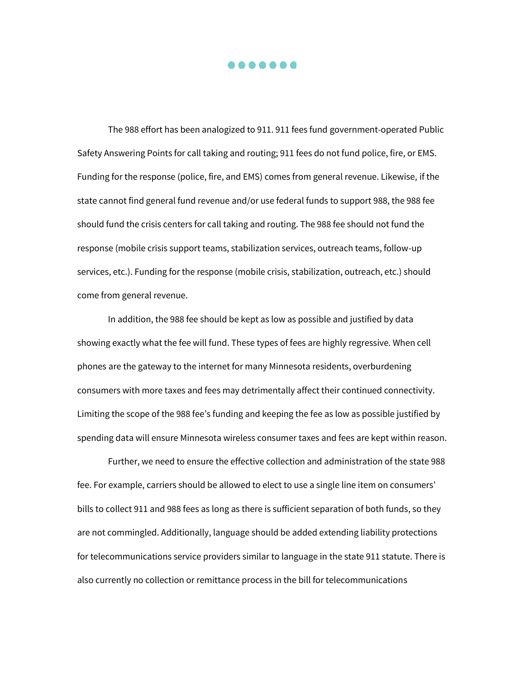. . . . . . .

The 988 effort has been analogized to 911. 911 fees fund government-operated Public Safety Answering Points for call taking and routing; 911 fees do not fund police, fire, or EMS. Funding for the response (police, fire, and EMS) comes from general revenue. Likewise, if the state cannot find general fund revenue and/or use federal funds to support 988, the 988 fee should fund the crisis centers for call taking and routing. The 988 fee should not fund the response (mobile crisis support teams, stabilization services, outreach teams, follow-up services, etc.). Funding for the response (mobile crisis, stabilization, outreach, etc.) should come from general revenue.

In addition, the 988 fee should be kept as low as possible and justified by data showing exactly what the fee will fund. These types of fees are highly regressive. When cell phones are the gateway to the internet for many Minnesota residents, overburdening consumers with more taxes and fees may detrimentally affect their continued connectivity. Limiting the scope of the 988 fee's funding and keeping the fee as low as possible justified by spending data will ensure Minnesota wireless consumer taxes and fees are kept within reason.

Further, we need to ensure the effective collection and administration of the state 988 fee. For example, carriers should be allowed to elect to use a single line item on consumers' bills to collect 911 and 988 fees as long as there is sufficient separation of both funds, so they are not commingled. Additionally, language should be added extending liability protections for telecommunications service providers similar to language in the state 911 statute. There is also currently no collection or remittance process in the bill for telecommunications